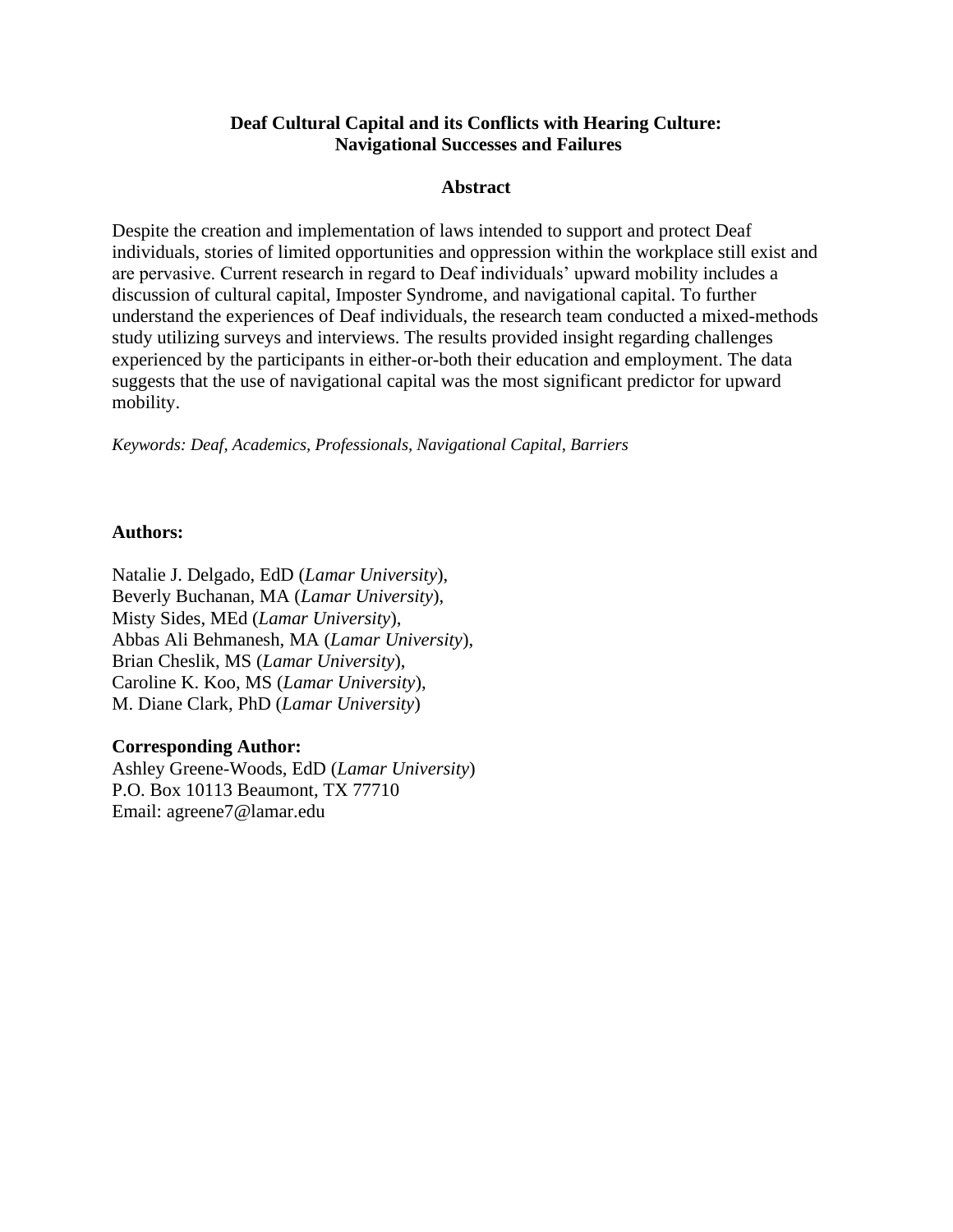## **Deaf Cultural Capital and its Conflicts with Hearing Culture: Navigational Successes and Failures**

## **Abstract**

Despite the creation and implementation of laws intended to support and protect Deaf individuals, stories of limited opportunities and oppression within the workplace still exist and are pervasive. Current research in regard to Deaf individuals' upward mobility includes a discussion of cultural capital, Imposter Syndrome, and navigational capital. To further understand the experiences of Deaf individuals, the research team conducted a mixed-methods study utilizing surveys and interviews. The results provided insight regarding challenges experienced by the participants in either-or-both their education and employment. The data suggests that the use of navigational capital was the most significant predictor for upward mobility.

*Keywords: Deaf, Academics, Professionals, Navigational Capital, Barriers* 

### **Authors:**

Natalie J. Delgado, EdD (*Lamar University*), Beverly Buchanan, MA (*Lamar University*), Misty Sides, MEd (*Lamar University*), Abbas Ali Behmanesh, MA (*Lamar University*), Brian Cheslik, MS (*Lamar University*), Caroline K. Koo, MS (*Lamar University*), M. Diane Clark, PhD (*Lamar University*)

### **Corresponding Author:**

Ashley Greene-Woods, EdD (*Lamar University*) P.O. Box 10113 Beaumont, TX 77710 Email: agreene7@lamar.edu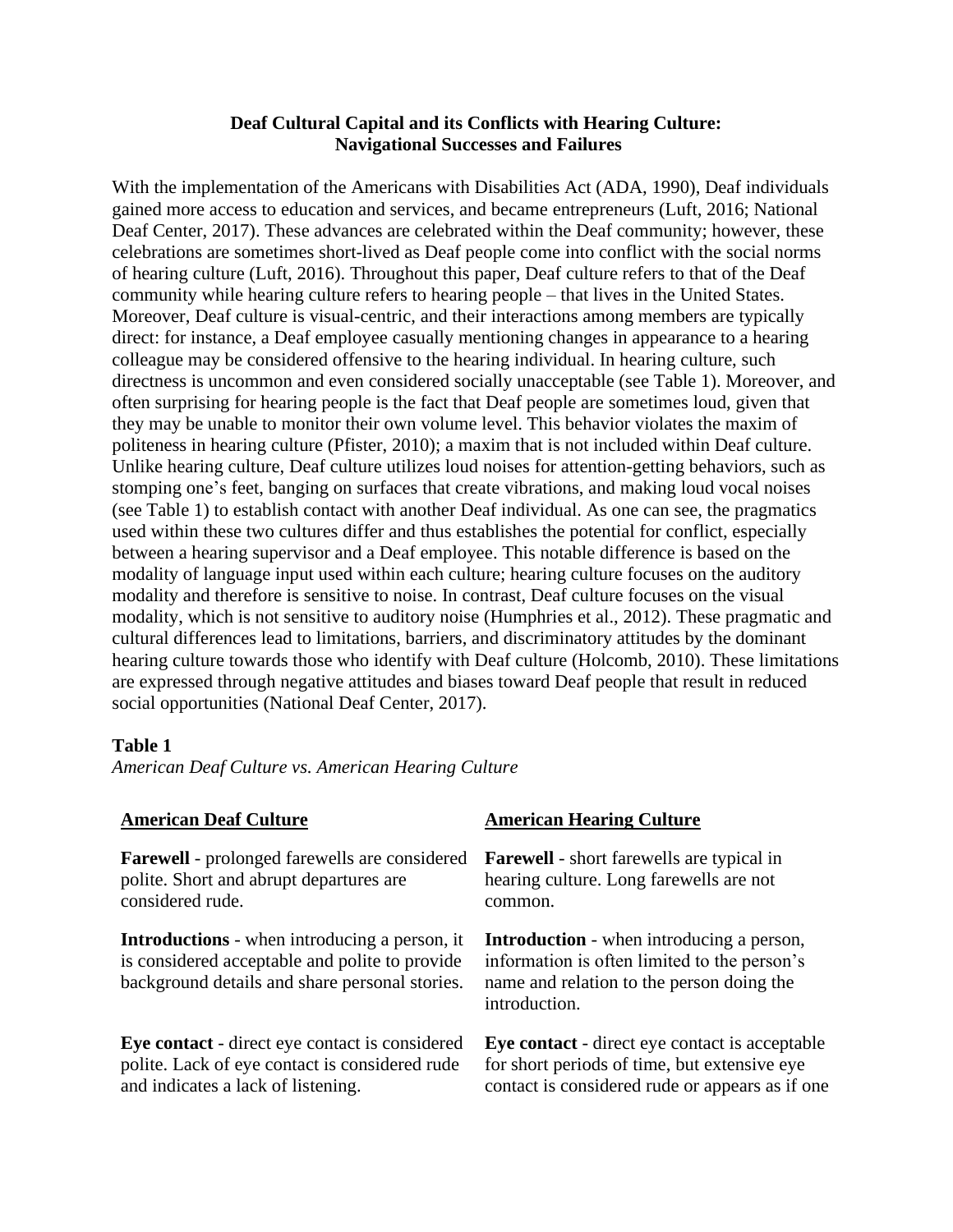## **Deaf Cultural Capital and its Conflicts with Hearing Culture: Navigational Successes and Failures**

With the implementation of the Americans with Disabilities Act (ADA, 1990), Deaf individuals gained more access to education and services, and became entrepreneurs (Luft, 2016; National Deaf Center, 2017). These advances are celebrated within the Deaf community; however, these celebrations are sometimes short-lived as Deaf people come into conflict with the social norms of hearing culture (Luft, 2016). Throughout this paper, Deaf culture refers to that of the Deaf community while hearing culture refers to hearing people – that lives in the United States. Moreover, Deaf culture is visual-centric, and their interactions among members are typically direct: for instance, a Deaf employee casually mentioning changes in appearance to a hearing colleague may be considered offensive to the hearing individual. In hearing culture, such directness is uncommon and even considered socially unacceptable (see Table 1). Moreover, and often surprising for hearing people is the fact that Deaf people are sometimes loud, given that they may be unable to monitor their own volume level. This behavior violates the maxim of politeness in hearing culture (Pfister, 2010); a maxim that is not included within Deaf culture. Unlike hearing culture, Deaf culture utilizes loud noises for attention-getting behaviors, such as stomping one's feet, banging on surfaces that create vibrations, and making loud vocal noises (see Table 1) to establish contact with another Deaf individual. As one can see, the pragmatics used within these two cultures differ and thus establishes the potential for conflict, especially between a hearing supervisor and a Deaf employee. This notable difference is based on the modality of language input used within each culture; hearing culture focuses on the auditory modality and therefore is sensitive to noise. In contrast, Deaf culture focuses on the visual modality, which is not sensitive to auditory noise (Humphries et al., 2012). These pragmatic and cultural differences lead to limitations, barriers, and discriminatory attitudes by the dominant hearing culture towards those who identify with Deaf culture (Holcomb, 2010). These limitations are expressed through negative attitudes and biases toward Deaf people that result in reduced social opportunities (National Deaf Center, 2017).

#### **Table 1**

*American Deaf Culture vs. American Hearing Culture* 

| <b>American Deaf Culture</b>                                                                                                                             | <b>American Hearing Culture</b>                                                                                                                                |
|----------------------------------------------------------------------------------------------------------------------------------------------------------|----------------------------------------------------------------------------------------------------------------------------------------------------------------|
| <b>Farewell</b> - prolonged farewells are considered                                                                                                     | <b>Farewell</b> - short farewells are typical in                                                                                                               |
| polite. Short and abrupt departures are                                                                                                                  | hearing culture. Long farewells are not                                                                                                                        |
| considered rude.                                                                                                                                         | common.                                                                                                                                                        |
| <b>Introductions</b> - when introducing a person, it<br>is considered acceptable and polite to provide<br>background details and share personal stories. | <b>Introduction</b> - when introducing a person,<br>information is often limited to the person's<br>name and relation to the person doing the<br>introduction. |
| Eye contact - direct eye contact is considered                                                                                                           | Eye contact - direct eye contact is acceptable                                                                                                                 |
| polite. Lack of eye contact is considered rude                                                                                                           | for short periods of time, but extensive eye                                                                                                                   |

and indicates a lack of listening.

**Eye contact** - direct eye contact is acceptable for short periods of time, but extensive eye contact is considered rude or appears as if one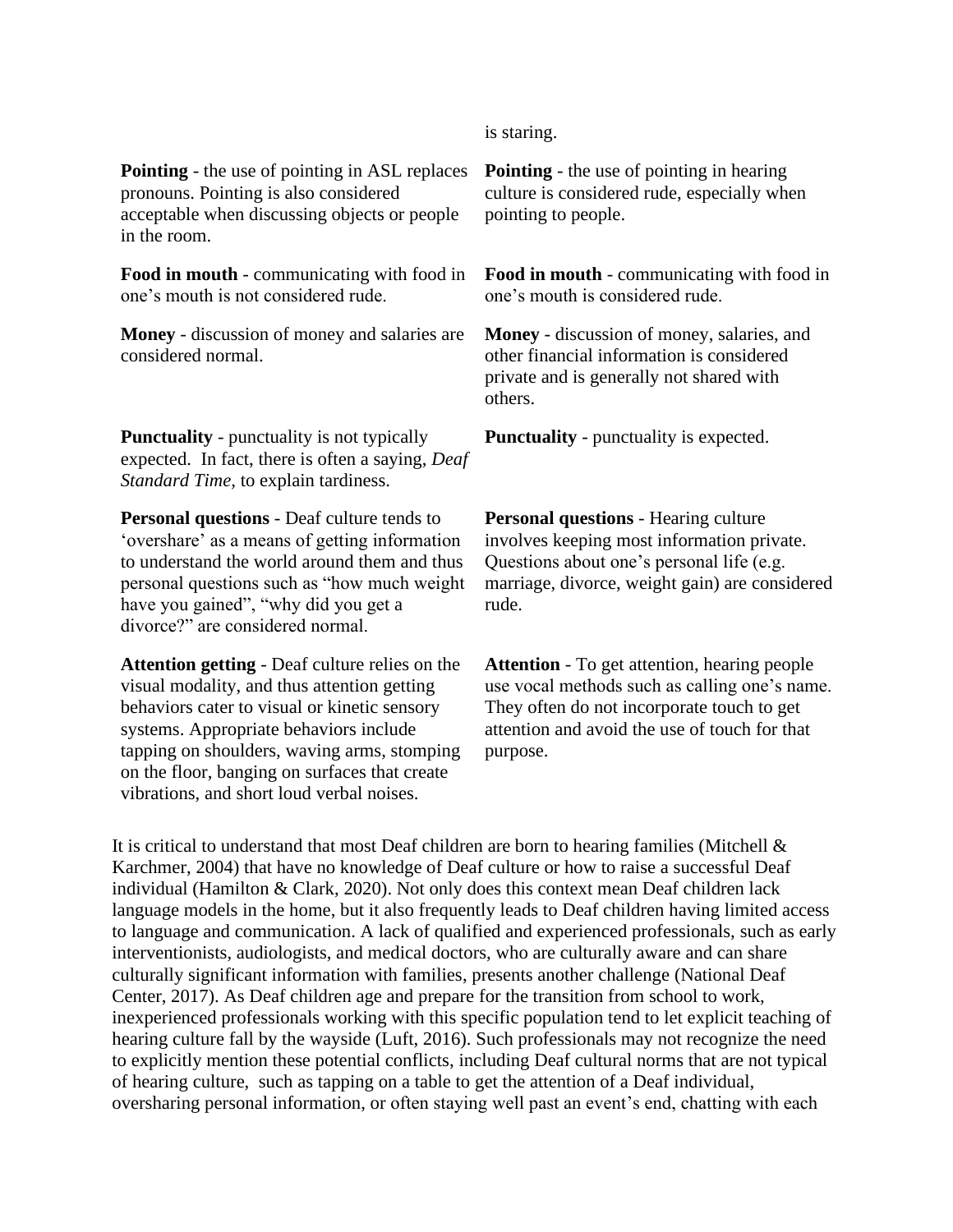**Pointing** - the use of pointing in ASL replaces pronouns. Pointing is also considered acceptable when discussing objects or people

**Food in mouth** - communicating with food in one's mouth is not considered rude.

in the room.

**Money** - discussion of money and salaries are considered normal.

**Punctuality** - punctuality is not typically expected. In fact, there is often a saying, *Deaf Standard Time,* to explain tardiness.

**Personal questions** - Deaf culture tends to 'overshare' as a means of getting information to understand the world around them and thus personal questions such as "how much weight have you gained", "why did you get a divorce?" are considered normal.

**Attention getting** - Deaf culture relies on the visual modality, and thus attention getting behaviors cater to visual or kinetic sensory systems. Appropriate behaviors include tapping on shoulders, waving arms, stomping on the floor, banging on surfaces that create vibrations, and short loud verbal noises.

is staring.

**Pointing** - the use of pointing in hearing culture is considered rude, especially when pointing to people.

**Food in mouth** - communicating with food in one's mouth is considered rude.

**Money** - discussion of money, salaries, and other financial information is considered private and is generally not shared with others.

**Punctuality** - punctuality is expected.

**Personal questions** - Hearing culture involves keeping most information private. Questions about one's personal life (e.g. marriage, divorce, weight gain) are considered rude.

**Attention** - To get attention, hearing people use vocal methods such as calling one's name. They often do not incorporate touch to get attention and avoid the use of touch for that purpose.

It is critical to understand that most Deaf children are born to hearing families (Mitchell & Karchmer, 2004) that have no knowledge of Deaf culture or how to raise a successful Deaf individual (Hamilton & Clark, 2020). Not only does this context mean Deaf children lack language models in the home, but it also frequently leads to Deaf children having limited access to language and communication. A lack of qualified and experienced professionals, such as early interventionists, audiologists, and medical doctors, who are culturally aware and can share culturally significant information with families, presents another challenge (National Deaf Center, 2017). As Deaf children age and prepare for the transition from school to work, inexperienced professionals working with this specific population tend to let explicit teaching of hearing culture fall by the wayside (Luft, 2016). Such professionals may not recognize the need to explicitly mention these potential conflicts, including Deaf cultural norms that are not typical of hearing culture, such as tapping on a table to get the attention of a Deaf individual, oversharing personal information, or often staying well past an event's end, chatting with each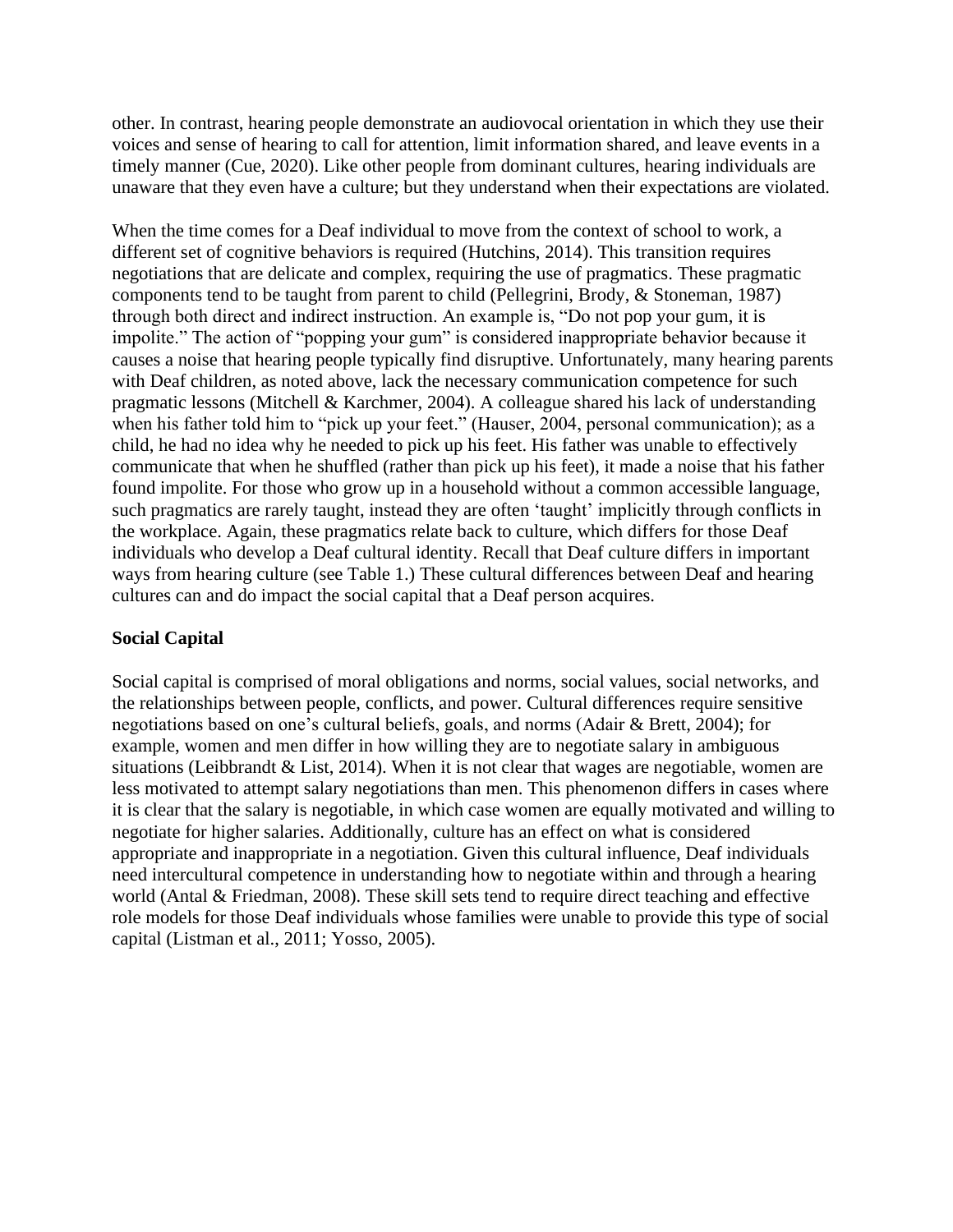other. In contrast, hearing people demonstrate an audiovocal orientation in which they use their voices and sense of hearing to call for attention, limit information shared, and leave events in a timely manner (Cue, 2020). Like other people from dominant cultures, hearing individuals are unaware that they even have a culture; but they understand when their expectations are violated.

When the time comes for a Deaf individual to move from the context of school to work, a different set of cognitive behaviors is required (Hutchins, 2014). This transition requires negotiations that are delicate and complex, requiring the use of pragmatics. These pragmatic components tend to be taught from parent to child (Pellegrini, Brody, & Stoneman, 1987) through both direct and indirect instruction. An example is, "Do not pop your gum, it is impolite." The action of "popping your gum" is considered inappropriate behavior because it causes a noise that hearing people typically find disruptive. Unfortunately, many hearing parents with Deaf children, as noted above, lack the necessary communication competence for such pragmatic lessons (Mitchell & Karchmer, 2004). A colleague shared his lack of understanding when his father told him to "pick up your feet." (Hauser, 2004, personal communication); as a child, he had no idea why he needed to pick up his feet. His father was unable to effectively communicate that when he shuffled (rather than pick up his feet), it made a noise that his father found impolite. For those who grow up in a household without a common accessible language, such pragmatics are rarely taught, instead they are often 'taught' implicitly through conflicts in the workplace. Again, these pragmatics relate back to culture, which differs for those Deaf individuals who develop a Deaf cultural identity. Recall that Deaf culture differs in important ways from hearing culture (see Table 1.) These cultural differences between Deaf and hearing cultures can and do impact the social capital that a Deaf person acquires.

# **Social Capital**

Social capital is comprised of moral obligations and norms, social values, social networks, and the relationships between people, conflicts, and power. Cultural differences require sensitive negotiations based on one's cultural beliefs, goals, and norms (Adair & Brett, 2004); for example, women and men differ in how willing they are to negotiate salary in ambiguous situations (Leibbrandt & List, 2014). When it is not clear that wages are negotiable, women are less motivated to attempt salary negotiations than men. This phenomenon differs in cases where it is clear that the salary is negotiable, in which case women are equally motivated and willing to negotiate for higher salaries. Additionally, culture has an effect on what is considered appropriate and inappropriate in a negotiation. Given this cultural influence, Deaf individuals need intercultural competence in understanding how to negotiate within and through a hearing world (Antal & Friedman, 2008). These skill sets tend to require direct teaching and effective role models for those Deaf individuals whose families were unable to provide this type of social capital (Listman et al., 2011; Yosso, 2005).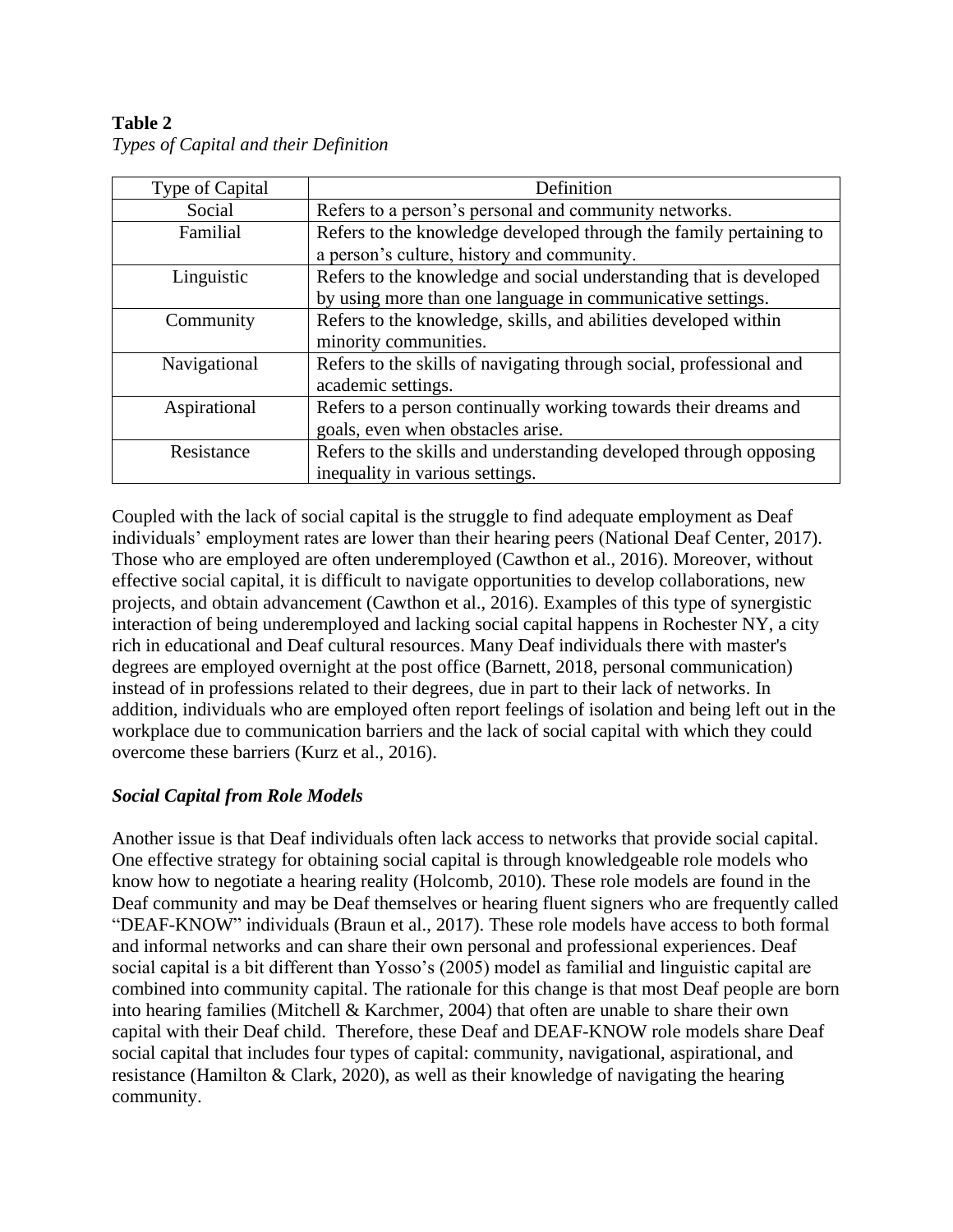# **Table 2**

| Type of Capital | Definition                                                                                                                       |
|-----------------|----------------------------------------------------------------------------------------------------------------------------------|
| Social          | Refers to a person's personal and community networks.                                                                            |
| Familial        | Refers to the knowledge developed through the family pertaining to<br>a person's culture, history and community.                 |
| Linguistic      | Refers to the knowledge and social understanding that is developed<br>by using more than one language in communicative settings. |
| Community       | Refers to the knowledge, skills, and abilities developed within<br>minority communities.                                         |
| Navigational    | Refers to the skills of navigating through social, professional and<br>academic settings.                                        |
| Aspirational    | Refers to a person continually working towards their dreams and<br>goals, even when obstacles arise.                             |
| Resistance      | Refers to the skills and understanding developed through opposing<br>inequality in various settings.                             |

*Types of Capital and their Definition*

Coupled with the lack of social capital is the struggle to find adequate employment as Deaf individuals' employment rates are lower than their hearing peers (National Deaf Center, 2017). Those who are employed are often underemployed (Cawthon et al., 2016). Moreover, without effective social capital, it is difficult to navigate opportunities to develop collaborations, new projects, and obtain advancement (Cawthon et al., 2016). Examples of this type of synergistic interaction of being underemployed and lacking social capital happens in Rochester NY, a city rich in educational and Deaf cultural resources. Many Deaf individuals there with master's degrees are employed overnight at the post office (Barnett, 2018, personal communication) instead of in professions related to their degrees, due in part to their lack of networks. In addition, individuals who are employed often report feelings of isolation and being left out in the workplace due to communication barriers and the lack of social capital with which they could overcome these barriers (Kurz et al., 2016).

# *Social Capital from Role Models*

Another issue is that Deaf individuals often lack access to networks that provide social capital. One effective strategy for obtaining social capital is through knowledgeable role models who know how to negotiate a hearing reality (Holcomb, 2010). These role models are found in the Deaf community and may be Deaf themselves or hearing fluent signers who are frequently called "DEAF-KNOW" individuals (Braun et al., 2017). These role models have access to both formal and informal networks and can share their own personal and professional experiences. Deaf social capital is a bit different than Yosso's (2005) model as familial and linguistic capital are combined into community capital. The rationale for this change is that most Deaf people are born into hearing families (Mitchell & Karchmer, 2004) that often are unable to share their own capital with their Deaf child. Therefore, these Deaf and DEAF-KNOW role models share Deaf social capital that includes four types of capital: community, navigational, aspirational, and resistance (Hamilton & Clark, 2020), as well as their knowledge of navigating the hearing community.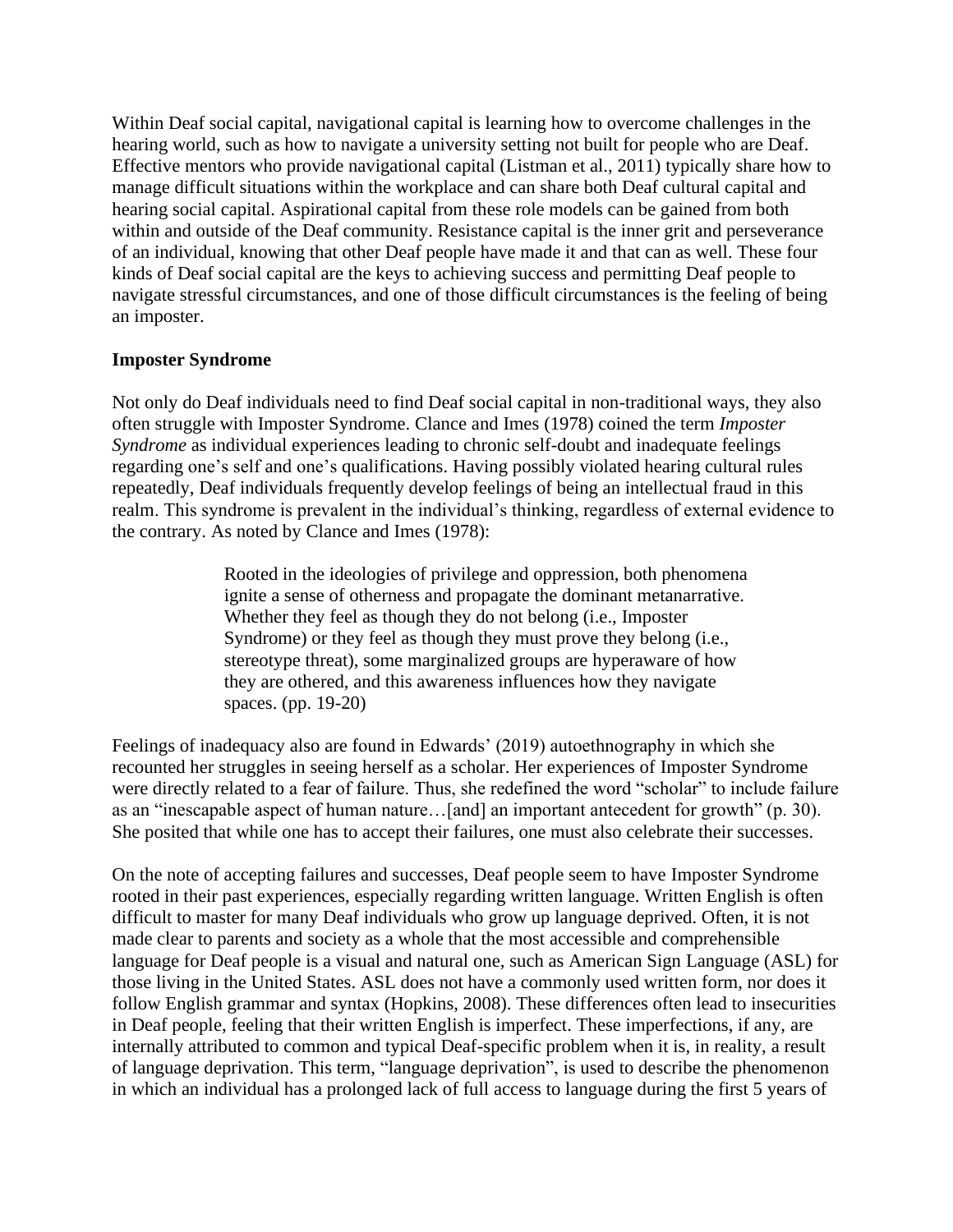Within Deaf social capital, navigational capital is learning how to overcome challenges in the hearing world, such as how to navigate a university setting not built for people who are Deaf. Effective mentors who provide navigational capital (Listman et al., 2011) typically share how to manage difficult situations within the workplace and can share both Deaf cultural capital and hearing social capital. Aspirational capital from these role models can be gained from both within and outside of the Deaf community. Resistance capital is the inner grit and perseverance of an individual, knowing that other Deaf people have made it and that can as well. These four kinds of Deaf social capital are the keys to achieving success and permitting Deaf people to navigate stressful circumstances, and one of those difficult circumstances is the feeling of being an imposter.

### **Imposter Syndrome**

Not only do Deaf individuals need to find Deaf social capital in non-traditional ways, they also often struggle with Imposter Syndrome. Clance and Imes (1978) coined the term *Imposter Syndrome* as individual experiences leading to chronic self-doubt and inadequate feelings regarding one's self and one's qualifications. Having possibly violated hearing cultural rules repeatedly, Deaf individuals frequently develop feelings of being an intellectual fraud in this realm. This syndrome is prevalent in the individual's thinking, regardless of external evidence to the contrary. As noted by Clance and Imes (1978):

> Rooted in the ideologies of privilege and oppression, both phenomena ignite a sense of otherness and propagate the dominant metanarrative. Whether they feel as though they do not belong (i.e., Imposter Syndrome) or they feel as though they must prove they belong (i.e., stereotype threat), some marginalized groups are hyperaware of how they are othered, and this awareness influences how they navigate spaces. (pp. 19-20)

Feelings of inadequacy also are found in Edwards' (2019) autoethnography in which she recounted her struggles in seeing herself as a scholar. Her experiences of Imposter Syndrome were directly related to a fear of failure. Thus, she redefined the word "scholar" to include failure as an "inescapable aspect of human nature…[and] an important antecedent for growth" (p. 30). She posited that while one has to accept their failures, one must also celebrate their successes.

On the note of accepting failures and successes, Deaf people seem to have Imposter Syndrome rooted in their past experiences, especially regarding written language. Written English is often difficult to master for many Deaf individuals who grow up language deprived. Often, it is not made clear to parents and society as a whole that the most accessible and comprehensible language for Deaf people is a visual and natural one, such as American Sign Language (ASL) for those living in the United States. ASL does not have a commonly used written form, nor does it follow English grammar and syntax (Hopkins, 2008). These differences often lead to insecurities in Deaf people, feeling that their written English is imperfect. These imperfections, if any, are internally attributed to common and typical Deaf-specific problem when it is, in reality, a result of language deprivation. This term, "language deprivation", is used to describe the phenomenon in which an individual has a prolonged lack of full access to language during the first 5 years of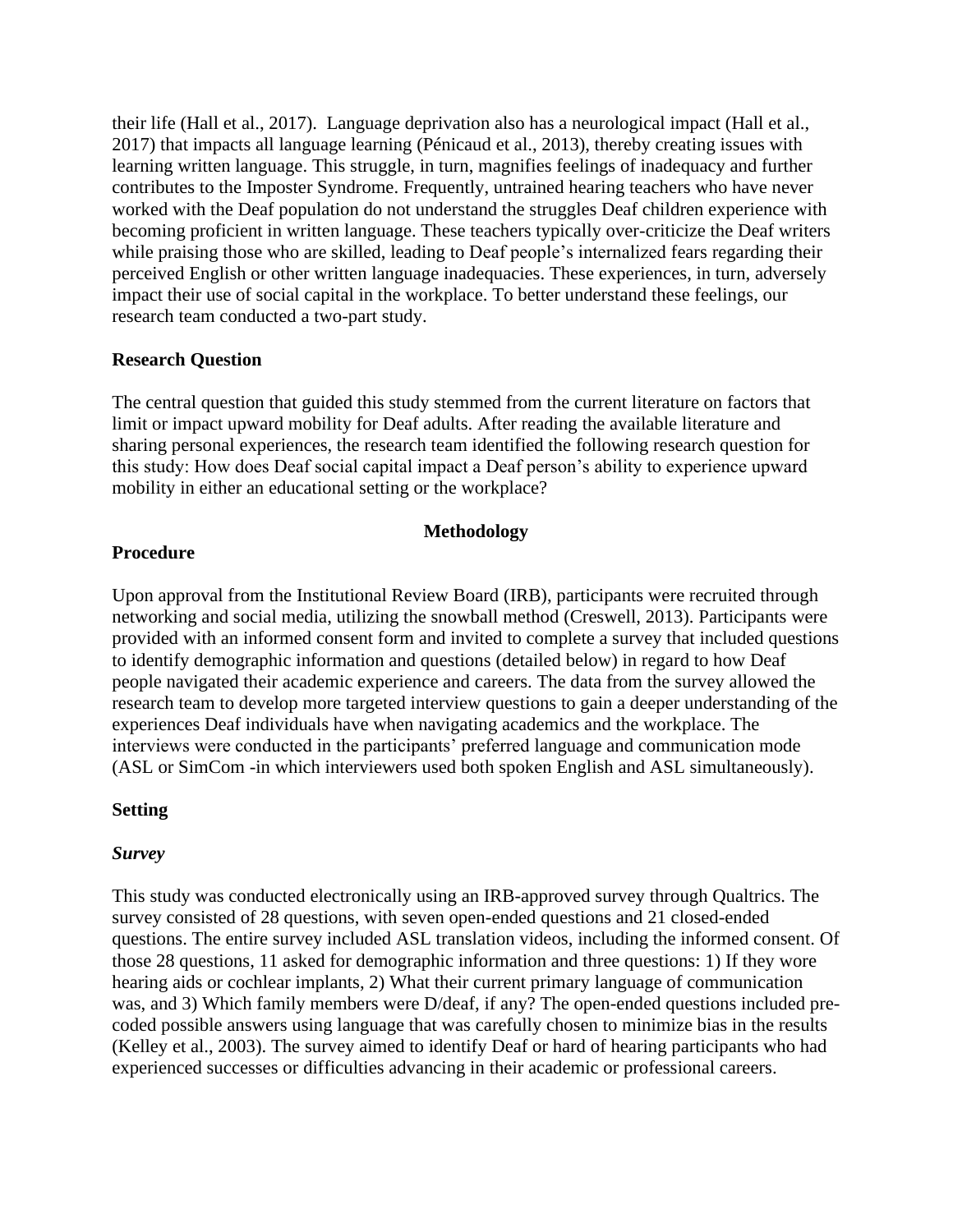their life (Hall et al., 2017). Language deprivation also has a neurological impact (Hall et al., 2017) that impacts all language learning (Pénicaud et al., 2013), thereby creating issues with learning written language. This struggle, in turn, magnifies feelings of inadequacy and further contributes to the Imposter Syndrome. Frequently, untrained hearing teachers who have never worked with the Deaf population do not understand the struggles Deaf children experience with becoming proficient in written language. These teachers typically over-criticize the Deaf writers while praising those who are skilled, leading to Deaf people's internalized fears regarding their perceived English or other written language inadequacies. These experiences, in turn, adversely impact their use of social capital in the workplace. To better understand these feelings, our research team conducted a two-part study.

### **Research Question**

The central question that guided this study stemmed from the current literature on factors that limit or impact upward mobility for Deaf adults. After reading the available literature and sharing personal experiences, the research team identified the following research question for this study: How does Deaf social capital impact a Deaf person's ability to experience upward mobility in either an educational setting or the workplace?

### **Methodology**

### **Procedure**

Upon approval from the Institutional Review Board (IRB), participants were recruited through networking and social media, utilizing the snowball method (Creswell, 2013). Participants were provided with an informed consent form and invited to complete a survey that included questions to identify demographic information and questions (detailed below) in regard to how Deaf people navigated their academic experience and careers. The data from the survey allowed the research team to develop more targeted interview questions to gain a deeper understanding of the experiences Deaf individuals have when navigating academics and the workplace. The interviews were conducted in the participants' preferred language and communication mode (ASL or SimCom -in which interviewers used both spoken English and ASL simultaneously).

### **Setting**

### *Survey*

This study was conducted electronically using an IRB-approved survey through Qualtrics. The survey consisted of 28 questions, with seven open-ended questions and 21 closed-ended questions. The entire survey included ASL translation videos, including the informed consent. Of those 28 questions, 11 asked for demographic information and three questions: 1) If they wore hearing aids or cochlear implants, 2) What their current primary language of communication was, and 3) Which family members were D/deaf, if any? The open-ended questions included precoded possible answers using language that was carefully chosen to minimize bias in the results (Kelley et al., 2003). The survey aimed to identify Deaf or hard of hearing participants who had experienced successes or difficulties advancing in their academic or professional careers.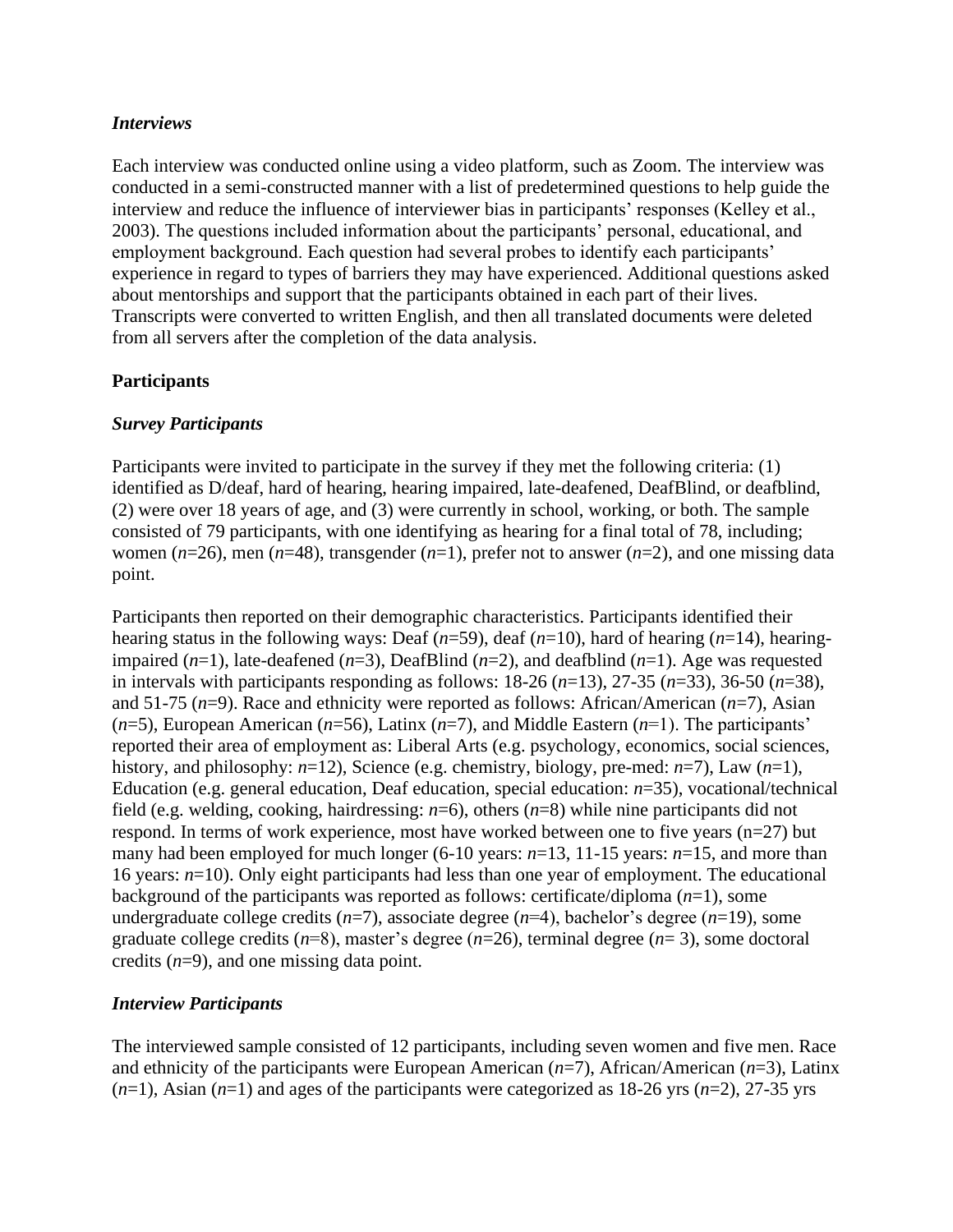#### *Interviews*

Each interview was conducted online using a video platform, such as Zoom. The interview was conducted in a semi-constructed manner with a list of predetermined questions to help guide the interview and reduce the influence of interviewer bias in participants' responses (Kelley et al., 2003). The questions included information about the participants' personal, educational, and employment background. Each question had several probes to identify each participants' experience in regard to types of barriers they may have experienced. Additional questions asked about mentorships and support that the participants obtained in each part of their lives. Transcripts were converted to written English, and then all translated documents were deleted from all servers after the completion of the data analysis.

### **Participants**

## *Survey Participants*

Participants were invited to participate in the survey if they met the following criteria: (1) identified as D/deaf, hard of hearing, hearing impaired, late-deafened, DeafBlind, or deafblind, (2) were over 18 years of age, and (3) were currently in school, working, or both. The sample consisted of 79 participants, with one identifying as hearing for a final total of 78, including; women (*n*=26), men (*n*=48), transgender (*n*=1), prefer not to answer (*n*=2), and one missing data point.

Participants then reported on their demographic characteristics. Participants identified their hearing status in the following ways: Deaf (*n*=59), deaf (*n*=10), hard of hearing (*n*=14), hearingimpaired (*n*=1), late-deafened (*n*=3), DeafBlind (*n*=2), and deafblind (*n*=1). Age was requested in intervals with participants responding as follows: 18-26 (*n*=13), 27-35 (*n*=33), 36-50 (*n*=38), and 51-75 (*n*=9). Race and ethnicity were reported as follows: African/American (*n*=7), Asian (*n*=5), European American (*n*=56), Latinx (*n*=7), and Middle Eastern (*n*=1). The participants' reported their area of employment as: Liberal Arts (e.g. psychology, economics, social sciences, history, and philosophy: *n*=12), Science (e.g. chemistry, biology, pre-med: *n*=7), Law (*n*=1), Education (e.g. general education, Deaf education, special education: *n*=35), vocational/technical field (e.g. welding, cooking, hairdressing: *n*=6), others (*n*=8) while nine participants did not respond. In terms of work experience, most have worked between one to five years (n=27) but many had been employed for much longer (6-10 years:  $n=13$ , 11-15 years:  $n=15$ , and more than 16 years: *n*=10). Only eight participants had less than one year of employment. The educational background of the participants was reported as follows: certificate/diploma (*n*=1), some undergraduate college credits (*n*=7), associate degree (*n*=4), bachelor's degree (*n*=19), some graduate college credits (*n*=8), master's degree (*n*=26), terminal degree (*n*= 3), some doctoral credits (*n*=9), and one missing data point.

### *Interview Participants*

The interviewed sample consisted of 12 participants, including seven women and five men. Race and ethnicity of the participants were European American (*n*=7), African/American (*n*=3), Latinx  $(n=1)$ , Asian  $(n=1)$  and ages of the participants were categorized as 18-26 yrs  $(n=2)$ , 27-35 yrs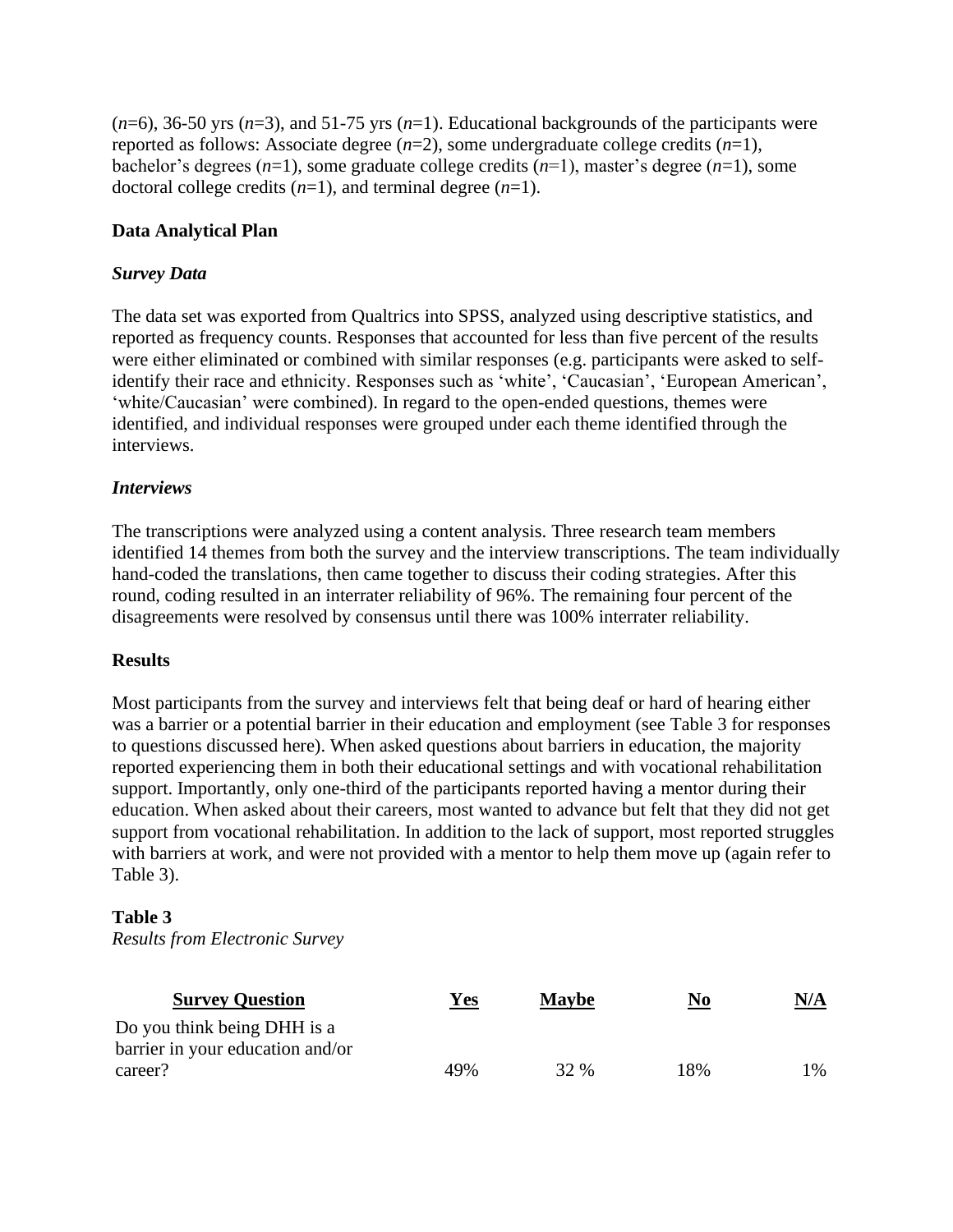(*n*=6), 36-50 yrs (*n*=3), and 51-75 yrs (*n*=1). Educational backgrounds of the participants were reported as follows: Associate degree (*n*=2), some undergraduate college credits (*n*=1), bachelor's degrees (*n*=1), some graduate college credits (*n*=1), master's degree (*n*=1), some doctoral college credits  $(n=1)$ , and terminal degree  $(n=1)$ .

# **Data Analytical Plan**

## *Survey Data*

The data set was exported from Qualtrics into SPSS, analyzed using descriptive statistics, and reported as frequency counts. Responses that accounted for less than five percent of the results were either eliminated or combined with similar responses (e.g. participants were asked to selfidentify their race and ethnicity. Responses such as 'white', 'Caucasian', 'European American', 'white/Caucasian' were combined). In regard to the open-ended questions, themes were identified, and individual responses were grouped under each theme identified through the interviews.

### *Interviews*

The transcriptions were analyzed using a content analysis. Three research team members identified 14 themes from both the survey and the interview transcriptions. The team individually hand-coded the translations, then came together to discuss their coding strategies. After this round, coding resulted in an interrater reliability of 96%. The remaining four percent of the disagreements were resolved by consensus until there was 100% interrater reliability.

### **Results**

Most participants from the survey and interviews felt that being deaf or hard of hearing either was a barrier or a potential barrier in their education and employment (see Table 3 for responses to questions discussed here). When asked questions about barriers in education, the majority reported experiencing them in both their educational settings and with vocational rehabilitation support. Importantly, only one-third of the participants reported having a mentor during their education. When asked about their careers, most wanted to advance but felt that they did not get support from vocational rehabilitation. In addition to the lack of support, most reported struggles with barriers at work, and were not provided with a mentor to help them move up (again refer to Table 3).

### **Table 3**

*Results from Electronic Survey* 

| <b>Survey Question</b>                                          | Yes | <b>Maybe</b> | <u>No</u> | <u>N/A</u> |
|-----------------------------------------------------------------|-----|--------------|-----------|------------|
| Do you think being DHH is a<br>barrier in your education and/or |     |              |           |            |
| career?                                                         | 49% | 32 %         | 18%       | 1%         |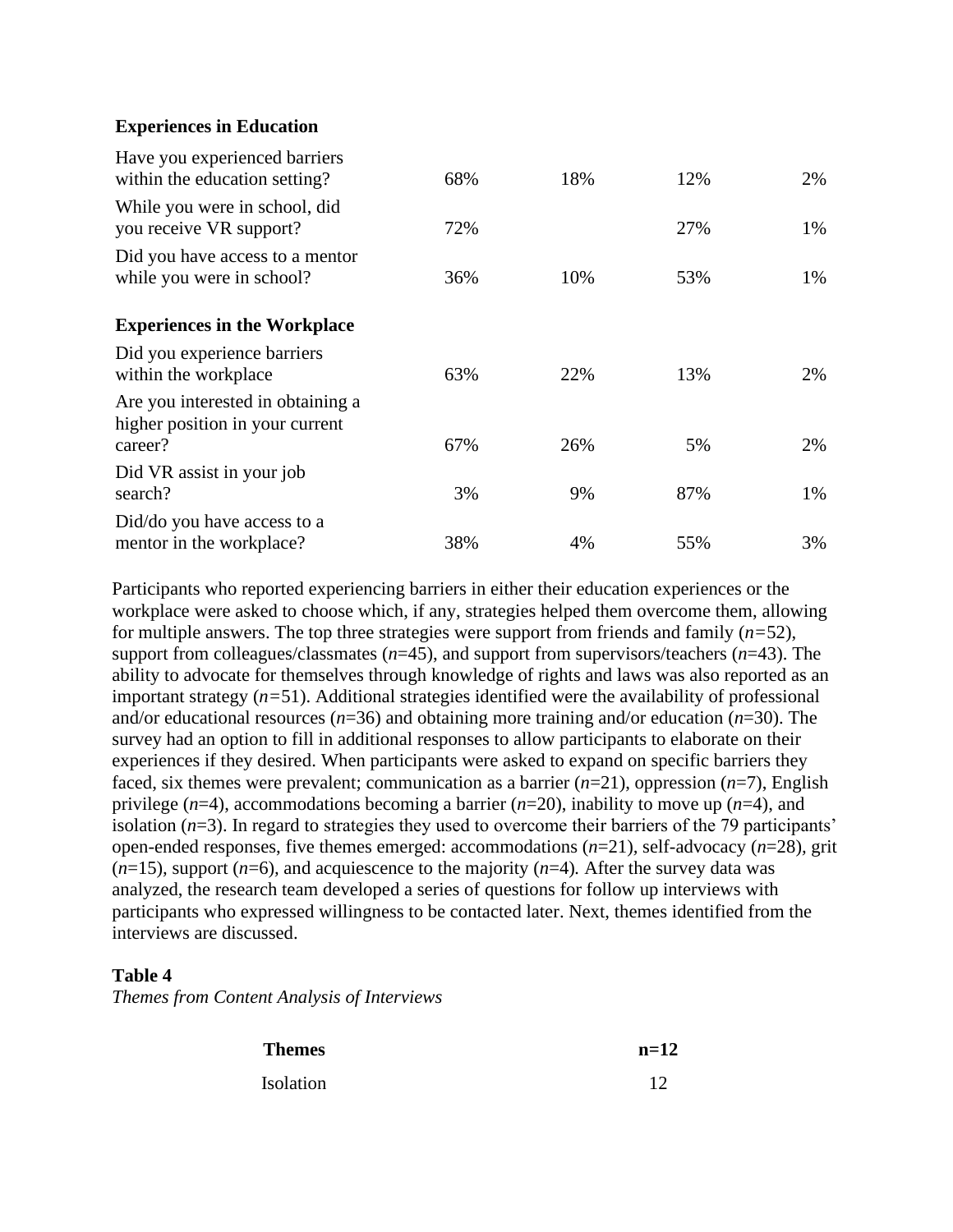#### **Experiences in Education**

| Have you experienced barriers<br>within the education setting?                  | 68% | 18% | 12% | 2% |
|---------------------------------------------------------------------------------|-----|-----|-----|----|
| While you were in school, did<br>you receive VR support?                        | 72% |     | 27% | 1% |
| Did you have access to a mentor<br>while you were in school?                    | 36% | 10% | 53% | 1% |
| <b>Experiences in the Workplace</b>                                             |     |     |     |    |
| Did you experience barriers<br>within the workplace                             | 63% | 22% | 13% | 2% |
| Are you interested in obtaining a<br>higher position in your current<br>career? | 67% | 26% | 5%  | 2% |
| Did VR assist in your job                                                       |     |     |     |    |
| search?                                                                         | 3%  | 9%  | 87% | 1% |
| Did/do you have access to a<br>mentor in the workplace?                         | 38% | 4%  | 55% | 3% |

Participants who reported experiencing barriers in either their education experiences or the workplace were asked to choose which, if any, strategies helped them overcome them, allowing for multiple answers. The top three strategies were support from friends and family (*n=*52), support from colleagues/classmates (*n*=45), and support from supervisors/teachers (*n*=43). The ability to advocate for themselves through knowledge of rights and laws was also reported as an important strategy (*n=*51). Additional strategies identified were the availability of professional and/or educational resources (*n*=36) and obtaining more training and/or education (*n*=30). The survey had an option to fill in additional responses to allow participants to elaborate on their experiences if they desired. When participants were asked to expand on specific barriers they faced, six themes were prevalent; communication as a barrier (*n*=21), oppression (*n*=7), English privilege (*n*=4), accommodations becoming a barrier (*n*=20), inability to move up (*n*=4), and isolation (*n*=3). In regard to strategies they used to overcome their barriers of the 79 participants' open-ended responses, five themes emerged: accommodations (*n*=21)*,* self-advocacy (*n*=28)*,* grit  $(n=15)$ , support  $(n=6)$ , and acquiescence to the majority  $(n=4)$ . After the survey data was analyzed, the research team developed a series of questions for follow up interviews with participants who expressed willingness to be contacted later. Next, themes identified from the interviews are discussed.

### **Table 4**

*Themes from Content Analysis of Interviews*

| <b>Themes</b> | $n=12$ |
|---------------|--------|
| Isolation     | 12     |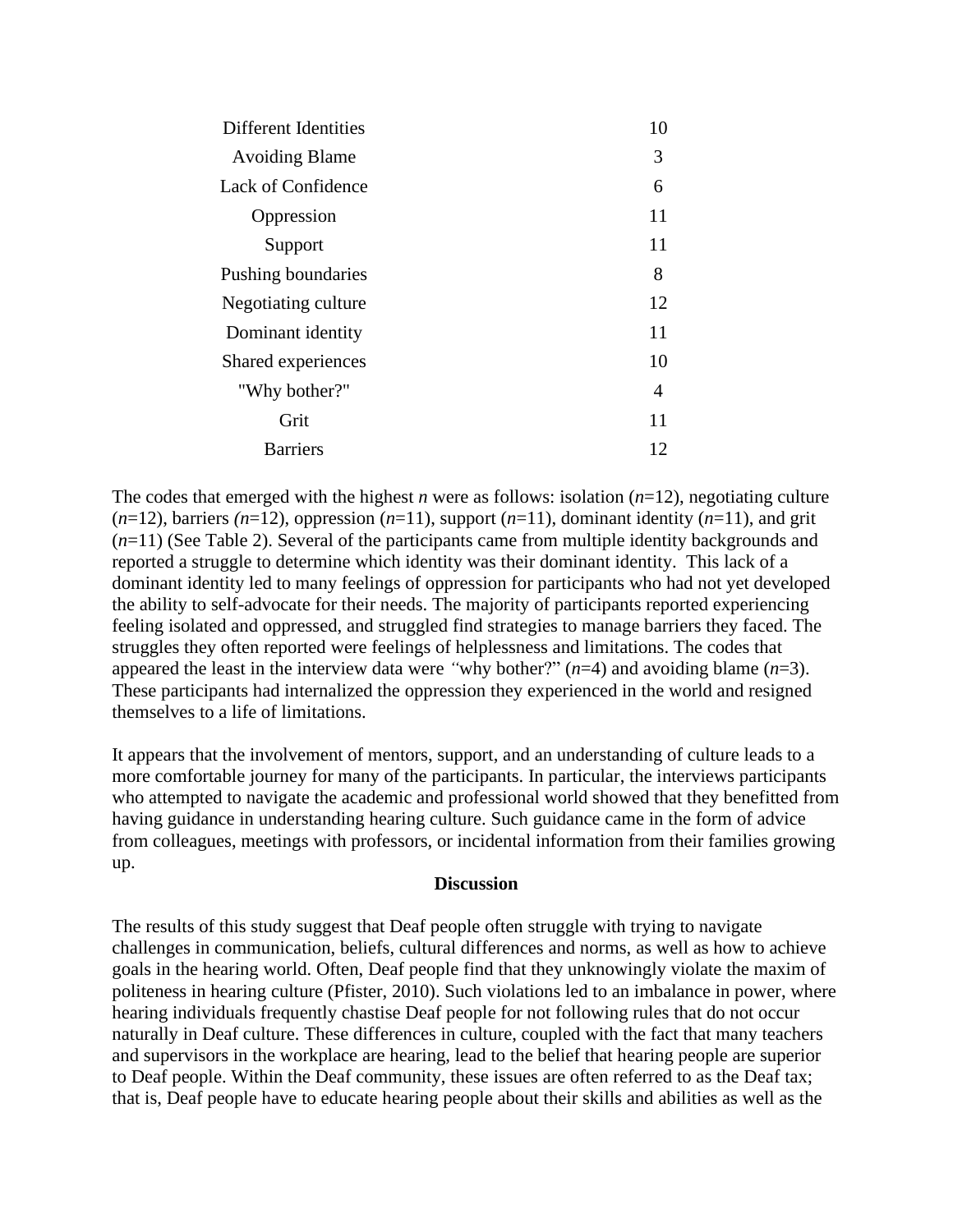| 10 |
|----|
| 3  |
| 6  |
| 11 |
| 11 |
| 8  |
| 12 |
| 11 |
| 10 |
| 4  |
| 11 |
| 12 |
|    |

The codes that emerged with the highest *n* were as follows: isolation  $(n=12)$ , negotiating culture  $(n=12)$ , barriers  $(n=12)$ , oppression  $(n=11)$ , support  $(n=11)$ , dominant identity  $(n=11)$ , and grit (*n*=11) (See Table 2). Several of the participants came from multiple identity backgrounds and reported a struggle to determine which identity was their dominant identity. This lack of a dominant identity led to many feelings of oppression for participants who had not yet developed the ability to self-advocate for their needs. The majority of participants reported experiencing feeling isolated and oppressed, and struggled find strategies to manage barriers they faced. The struggles they often reported were feelings of helplessness and limitations. The codes that appeared the least in the interview data were "why bother?"  $(n=4)$  and avoiding blame  $(n=3)$ . These participants had internalized the oppression they experienced in the world and resigned themselves to a life of limitations.

It appears that the involvement of mentors, support, and an understanding of culture leads to a more comfortable journey for many of the participants. In particular, the interviews participants who attempted to navigate the academic and professional world showed that they benefitted from having guidance in understanding hearing culture. Such guidance came in the form of advice from colleagues, meetings with professors, or incidental information from their families growing up.

#### **Discussion**

The results of this study suggest that Deaf people often struggle with trying to navigate challenges in communication, beliefs, cultural differences and norms, as well as how to achieve goals in the hearing world. Often, Deaf people find that they unknowingly violate the maxim of politeness in hearing culture (Pfister, 2010). Such violations led to an imbalance in power, where hearing individuals frequently chastise Deaf people for not following rules that do not occur naturally in Deaf culture. These differences in culture, coupled with the fact that many teachers and supervisors in the workplace are hearing, lead to the belief that hearing people are superior to Deaf people. Within the Deaf community, these issues are often referred to as the Deaf tax; that is, Deaf people have to educate hearing people about their skills and abilities as well as the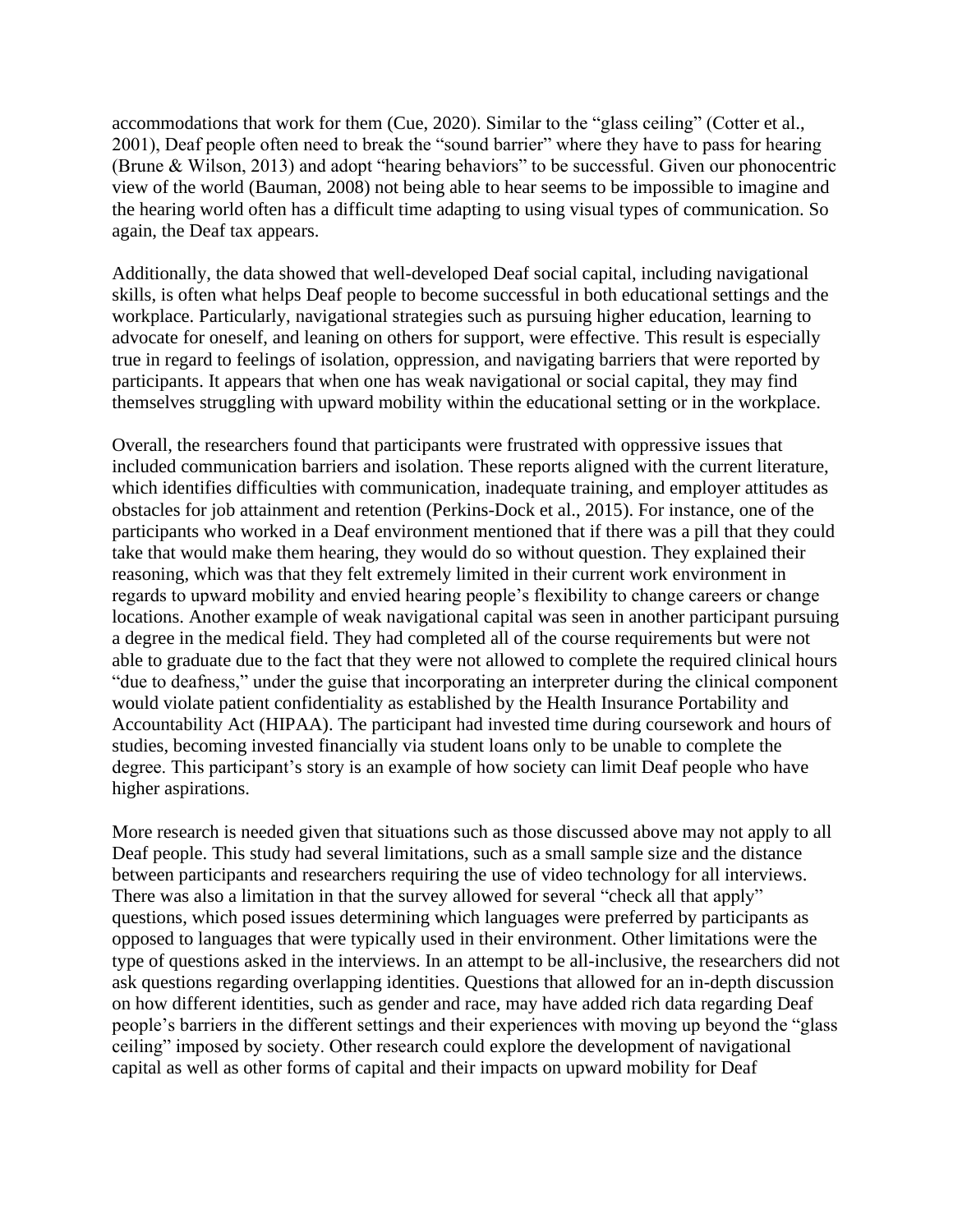accommodations that work for them (Cue, 2020). Similar to the "glass ceiling" (Cotter et al., 2001), Deaf people often need to break the "sound barrier" where they have to pass for hearing (Brune & Wilson, 2013) and adopt "hearing behaviors" to be successful. Given our phonocentric view of the world (Bauman, 2008) not being able to hear seems to be impossible to imagine and the hearing world often has a difficult time adapting to using visual types of communication. So again, the Deaf tax appears.

Additionally, the data showed that well-developed Deaf social capital, including navigational skills, is often what helps Deaf people to become successful in both educational settings and the workplace. Particularly, navigational strategies such as pursuing higher education, learning to advocate for oneself, and leaning on others for support, were effective. This result is especially true in regard to feelings of isolation, oppression, and navigating barriers that were reported by participants. It appears that when one has weak navigational or social capital, they may find themselves struggling with upward mobility within the educational setting or in the workplace.

Overall, the researchers found that participants were frustrated with oppressive issues that included communication barriers and isolation. These reports aligned with the current literature, which identifies difficulties with communication, inadequate training, and employer attitudes as obstacles for job attainment and retention (Perkins-Dock et al., 2015). For instance, one of the participants who worked in a Deaf environment mentioned that if there was a pill that they could take that would make them hearing, they would do so without question. They explained their reasoning, which was that they felt extremely limited in their current work environment in regards to upward mobility and envied hearing people's flexibility to change careers or change locations. Another example of weak navigational capital was seen in another participant pursuing a degree in the medical field. They had completed all of the course requirements but were not able to graduate due to the fact that they were not allowed to complete the required clinical hours "due to deafness," under the guise that incorporating an interpreter during the clinical component would violate patient confidentiality as established by the Health Insurance Portability and Accountability Act (HIPAA). The participant had invested time during coursework and hours of studies, becoming invested financially via student loans only to be unable to complete the degree. This participant's story is an example of how society can limit Deaf people who have higher aspirations.

More research is needed given that situations such as those discussed above may not apply to all Deaf people. This study had several limitations, such as a small sample size and the distance between participants and researchers requiring the use of video technology for all interviews. There was also a limitation in that the survey allowed for several "check all that apply" questions, which posed issues determining which languages were preferred by participants as opposed to languages that were typically used in their environment. Other limitations were the type of questions asked in the interviews. In an attempt to be all-inclusive, the researchers did not ask questions regarding overlapping identities. Questions that allowed for an in-depth discussion on how different identities, such as gender and race, may have added rich data regarding Deaf people's barriers in the different settings and their experiences with moving up beyond the "glass ceiling" imposed by society. Other research could explore the development of navigational capital as well as other forms of capital and their impacts on upward mobility for Deaf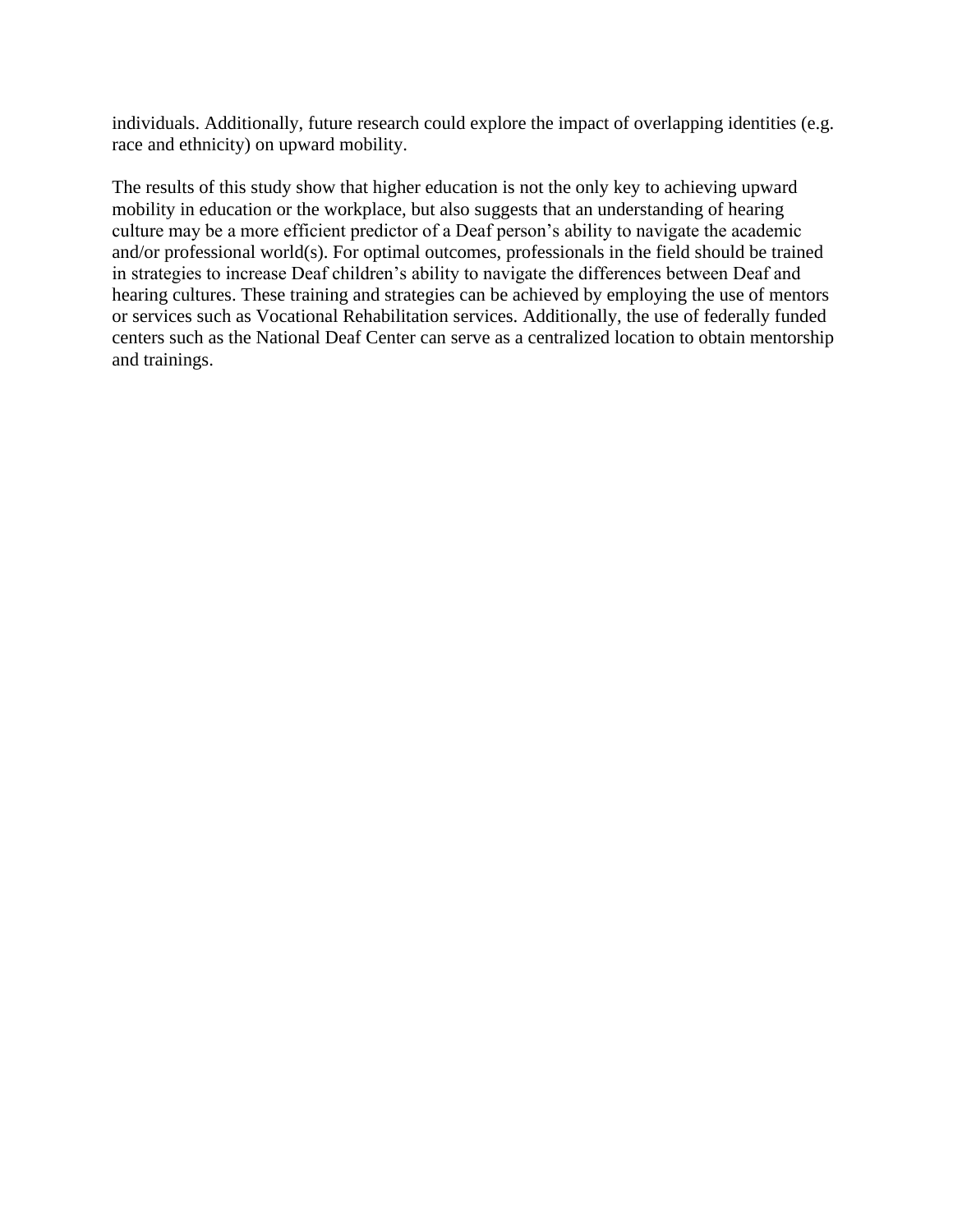individuals. Additionally, future research could explore the impact of overlapping identities (e.g. race and ethnicity) on upward mobility.

The results of this study show that higher education is not the only key to achieving upward mobility in education or the workplace, but also suggests that an understanding of hearing culture may be a more efficient predictor of a Deaf person's ability to navigate the academic and/or professional world(s). For optimal outcomes, professionals in the field should be trained in strategies to increase Deaf children's ability to navigate the differences between Deaf and hearing cultures. These training and strategies can be achieved by employing the use of mentors or services such as Vocational Rehabilitation services. Additionally, the use of federally funded centers such as the National Deaf Center can serve as a centralized location to obtain mentorship and trainings.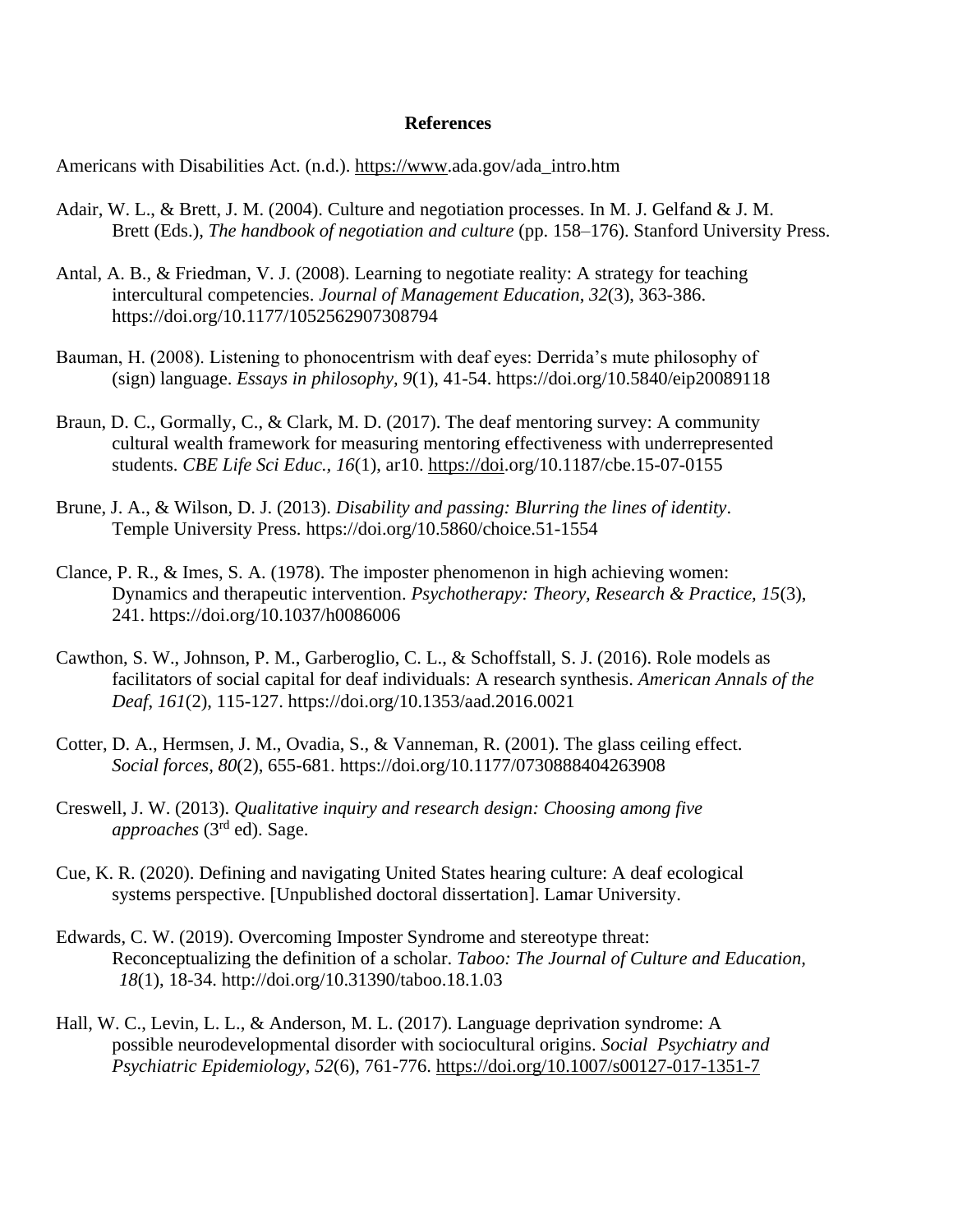#### **References**

Americans with Disabilities Act. (n.d.). [https://www.](https://www/)ada.gov/ada\_intro.htm

- Adair, W. L., & Brett, J. M. (2004). Culture and negotiation processes. In M. J. Gelfand & J. M. Brett (Eds.), *The handbook of negotiation and culture* (pp. 158–176). Stanford University Press.
- Antal, A. B., & Friedman, V. J. (2008). Learning to negotiate reality: A strategy for teaching intercultural competencies. *Journal of Management Education*, *32*(3), 363-386. https://doi.org/10.1177/1052562907308794
- Bauman, H. (2008). Listening to phonocentrism with deaf eyes: Derrida's mute philosophy of (sign) language. *Essays in philosophy, 9*(1), 41-54. <https://doi.org/10.5840/eip20089118>
- Braun, D. C., Gormally, C., & Clark, M. D. (2017). The deaf mentoring survey: A community cultural wealth framework for measuring mentoring effectiveness with underrepresented students. *CBE Life Sci Educ., 16*(1), ar10. [https://doi.](https://doi/)org/10.1187/cbe.15-07-0155
- Brune, J. A., & Wilson, D. J. (2013). *Disability and passing: Blurring the lines of identity*. Temple University Press.<https://doi.org/10.5860/choice.51-1554>
- Clance, P. R., & Imes, S. A. (1978). The imposter phenomenon in high achieving women: Dynamics and therapeutic intervention. *Psychotherapy: Theory, Research & Practice, 15*(3), 241.<https://doi.org/10.1037/h0086006>
- Cawthon, S. W., Johnson, P. M., Garberoglio, C. L., & Schoffstall, S. J. (2016). Role models as facilitators of social capital for deaf individuals: A research synthesis. *American Annals of the Deaf*, *161*(2), 115-127. https://doi.org[/10.1353/aad.2016.0021](https://www.researchgate.net/deref/http%3A%2F%2Fdx.doi.org%2F10.1353%2Faad.2016.0021?_sg%5B0%5D=UEWpYD35hqhcdEyty-vwVv3DLAwiWmzO-HS8IG6Hmns3Gfdtl-3mePZOxHM9vyMIGQZ5b1XsZRRmHc0eJoLyjaMG3Q.yrwEH8uFdJIjGh1Gu_Xhz1FMilJzD3Cdkkt2zkAJOa0BCHBx8cimht4BJKdnLfm00TtLsq8KbFYtpaeo2wSrSw)
- Cotter, D. A., Hermsen, J. M., Ovadia, S., & Vanneman, R. (2001). The glass ceiling effect. *Social forces, 80*(2), 655-681. [https://doi.org/10.1177/0730888404263908](https://doi.org/10.1177%2F0730888404263908)
- Creswell, J. W. (2013). *Qualitative inquiry and research design: Choosing among five approaches* (3rd ed). Sage.
- Cue, K. R. (2020). Defining and navigating United States hearing culture: A deaf ecological systems perspective. [Unpublished doctoral dissertation]. Lamar University.
- Edwards, C. W. (2019). Overcoming Imposter Syndrome and stereotype threat: Reconceptualizing the definition of a scholar. *Taboo: The Journal of Culture and Education, 18*(1), 18-34. http://doi.org[/10.31390/taboo.18.1.03](https://www.researchgate.net/deref/http%3A%2F%2Fdx.doi.org%2F10.31390%2Ftaboo.18.1.03)
- Hall, W. C., Levin, L. L., & Anderson, M. L. (2017). Language deprivation syndrome: A possible neurodevelopmental disorder with sociocultural origins. *Social Psychiatry and Psychiatric Epidemiology, 52*(6), 761-776. <https://doi.org/10.1007/s00127-017-1351-7>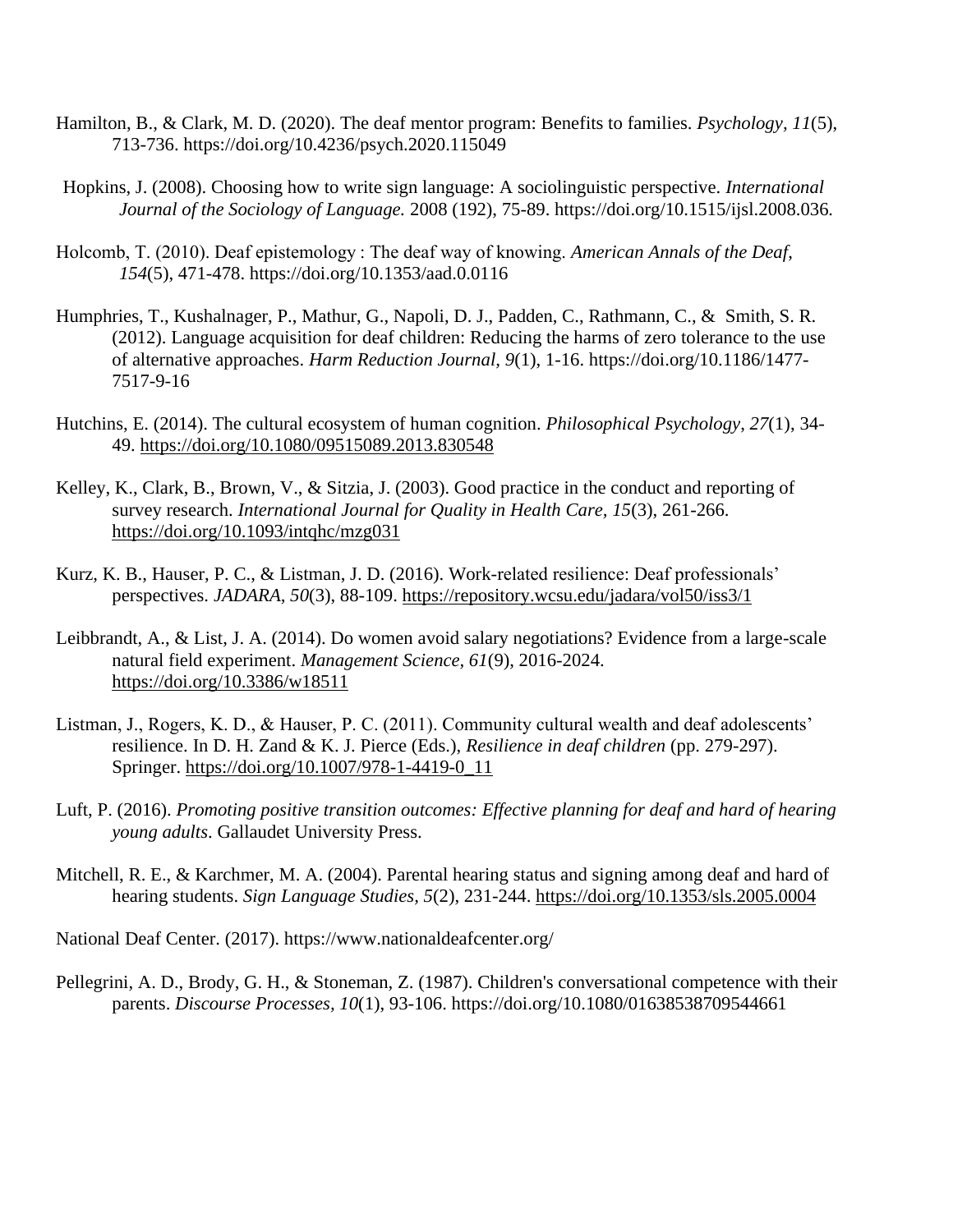- Hamilton, B., & Clark, M. D. (2020). The deaf mentor program: Benefits to families. *Psychology, 11*(5), 713-736. https://doi.org/10.4236/psych.2020.115049
- Hopkins, J. (2008). Choosing how to write sign language: A sociolinguistic perspective. *International Journal of the Sociology of Language.* 2008 (192), 75-89. https://doi.org/10.1515/ijsl.2008.036*.*
- Holcomb, T. (2010). Deaf epistemology : The deaf way of knowing. *American Annals of the Deaf*, *154*(5), 471-478. https://doi.org[/10.1353/aad.0.0116](https://doi.org/10.1353/aad.0.0116)
- Humphries, T., Kushalnager, P., Mathur, G., Napoli, D. J., Padden, C., Rathmann, C., & Smith, S. R. (2012). Language acquisition for deaf children: Reducing the harms of zero tolerance to the use of alternative approaches. *Harm Reduction Journal, 9*(1), 1-16. https://doi.org/10.1186/1477- 7517-9-16
- Hutchins, E. (2014). The cultural ecosystem of human cognition. *Philosophical Psychology*, *27*(1), 34- 49.<https://doi.org/10.1080/09515089.2013.830548>
- Kelley, K., Clark, B., Brown, V., & Sitzia, J. (2003). Good practice in the conduct and reporting of survey research. *International Journal for Quality in Health Care, 15*(3), 261-266. <https://doi.org/10.1093/intqhc/mzg031>
- Kurz, K. B., Hauser, P. C., & Listman, J. D. (2016). Work-related resilience: Deaf professionals' perspectives. *JADARA, 50*(3), 88-109.<https://repository.wcsu.edu/jadara/vol50/iss3/1>
- Leibbrandt, A., & List, J. A. (2014). Do women avoid salary negotiations? Evidence from a large-scale natural field experiment. *Management Science, 61*(9), 2016-2024. <https://doi.org/10.3386/w18511>
- Listman, J., Rogers, K. D., & Hauser, P. C. (2011). Community cultural wealth and deaf adolescents' resilience. In D. H. Zand & K. J. Pierce (Eds.), *Resilience in deaf children* (pp. 279-297). Springer. [https://doi.org/10.1007/978-1-4419-0\\_11](https://doi.org/10.1007/978-1-4419-0_11)
- Luft, P. (2016). *Promoting positive transition outcomes: Effective planning for deaf and hard of hearing young adults*. Gallaudet University Press.
- Mitchell, R. E., & Karchmer, M. A. (2004). Parental hearing status and signing among deaf and hard of hearing students. *Sign Language Studies, 5*(2), 231-244.<https://doi.org/10.1353/sls.2005.0004>
- National Deaf Center. (2017).<https://www.nationaldeafcenter.org/>
- Pellegrini, A. D., Brody, G. H., & Stoneman, Z. (1987). Children's conversational competence with their parents. *Discourse Processes, 10*(1), 93-106. https://doi.org/10.1080/01638538709544661